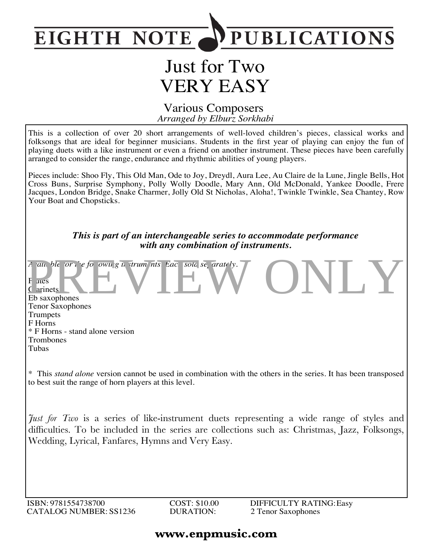

# Just for Two VERY EASY

#### *Arranged by Elburz Sorkhabi* Various Composers

This is a collection of over 20 short arrangements of well-loved children's pieces, classical works and folksongs that are ideal for beginner musicians. Students in the first year of playing can enjoy the fun of playing duets with a like instrument or even a friend on another instrument. These pieces have been carefully arranged to consider the range, endurance and rhythmic abilities of young players.

Pieces include: Shoo Fly, This Old Man, Ode to Joy, Dreydl, Aura Lee, Au Claire de la Lune, Jingle Bells, Hot Cross Buns, Surprise Symphony, Polly Wolly Doodle, Mary Ann, Old McDonald, Yankee Doodle, Frere Jacques, London Bridge, Snake Charmer, Jolly Old St Nicholas, Aloha!, Twinkle Twinkle, Sea Chantey, Row Your Boat and Chopsticks.

> *This is part of an interchangeable series to accommodate performance with any combination of instruments.*

*A* ail ble or the following instruments. Each sold separately. **F** ites Clarinets Eb saxophones Tenor Saxophones Trumpets F Horns \* F Horns - stand alone version Trombones Tubas *F* ait ble or the formulation of the same of the same of the same of the same of the same of the same of the same of the same of the same of the same of the same of the same of the same of the same of the same of the same

\* This *stand alone* version cannot be used in combination with the others in the series. It has been transposed to best suit the range of horn players at this level.

*Just for Two* is a series of like-instrument duets representing a wide range of styles and difficulties. To be included in the series are collections such as: Christmas, Jazz, Folksongs, Wedding, Lyrical, Fanfares, Hymns and Very Easy.

ISBN: 9781554738700 CATALOG NUMBER: SS1236 COST: \$10.00 DURATION:

### **www.enpmusic.com**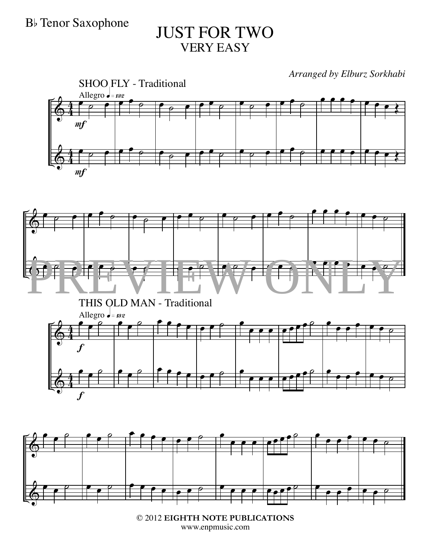# B<sub>b</sub> Tenor Saxophone JUST FOR TWO VERY EASY

*Arranged by Elburz Sorkhabi*









© 2012 **EIGHTH NOTE PUBLICATIONS** www.enpmusic.com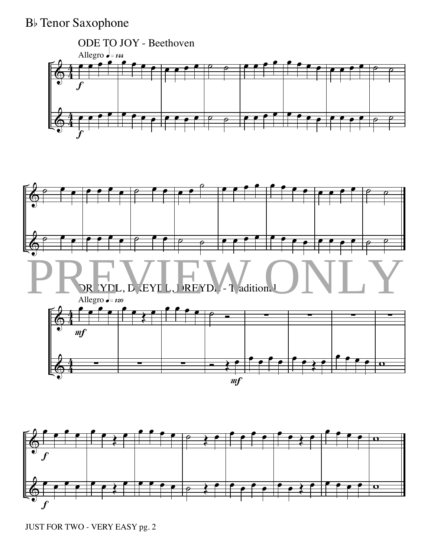



JUST FOR TWO - VERY EASY pg. 2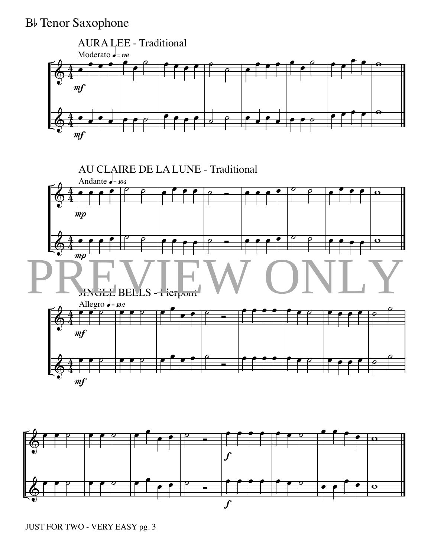

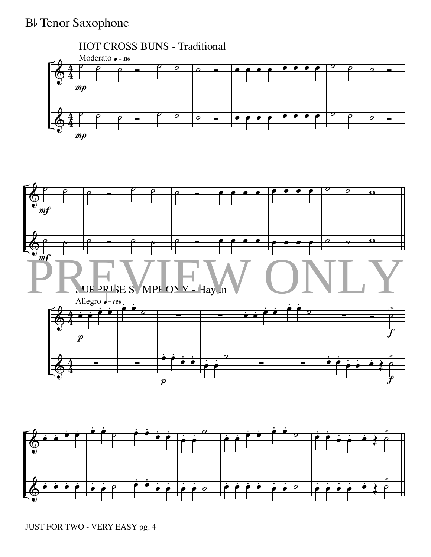

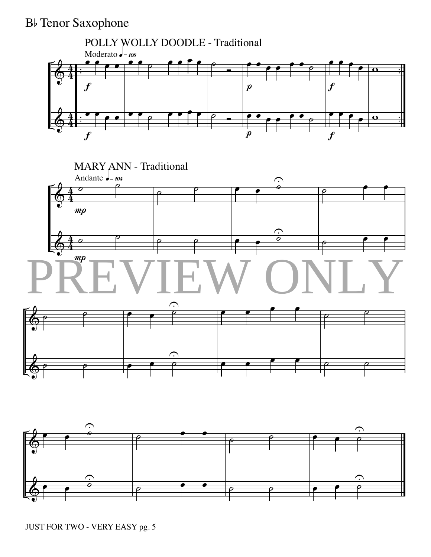

JUST FOR TWO - VERY EASY pg. 5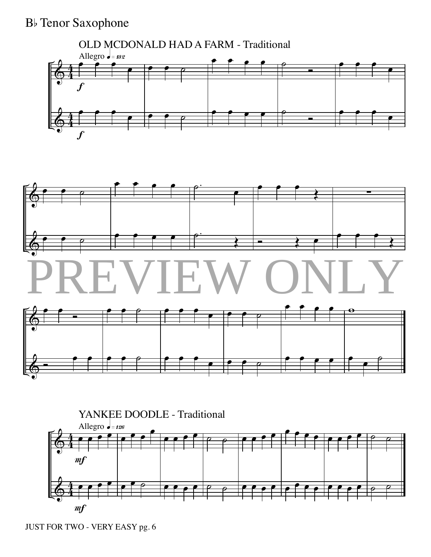





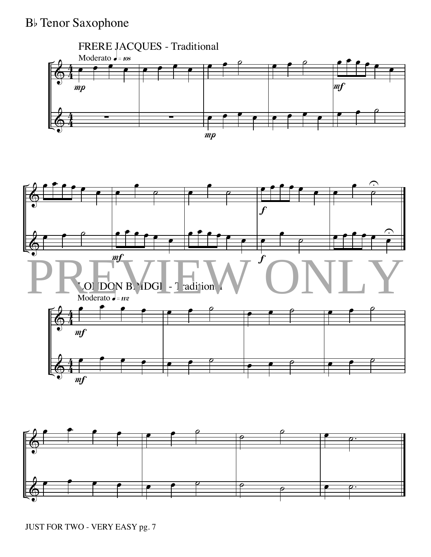



JUST FOR TWO - VERY EASY pg. 7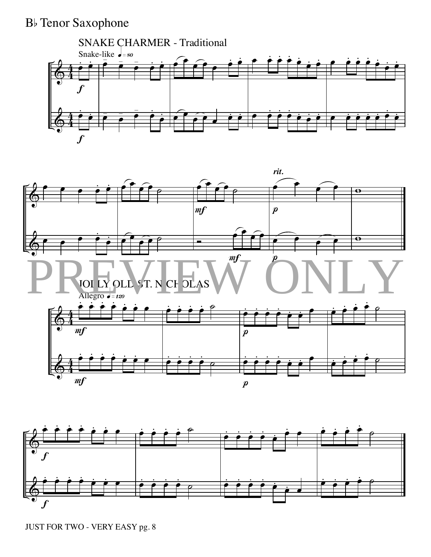# B<sub>b</sub> Tenor Saxophone







JUST FOR TWO - VERY EASY pg. 8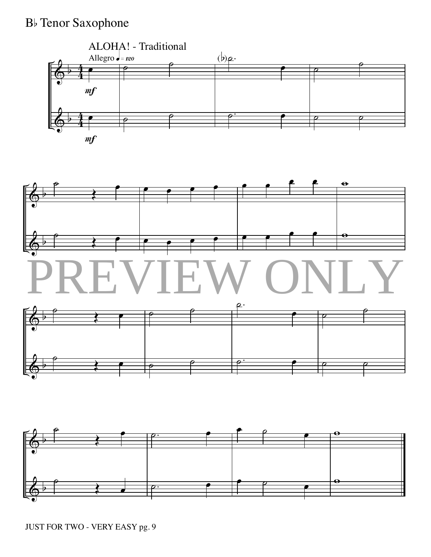





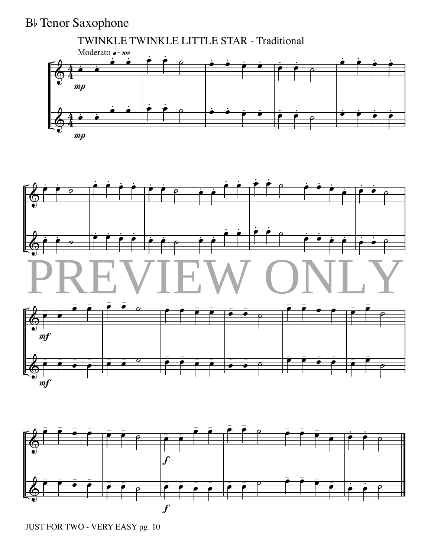# B<sub>b</sub> Tenor Saxophone









JUST FOR TWO - VERY EASY pg. 10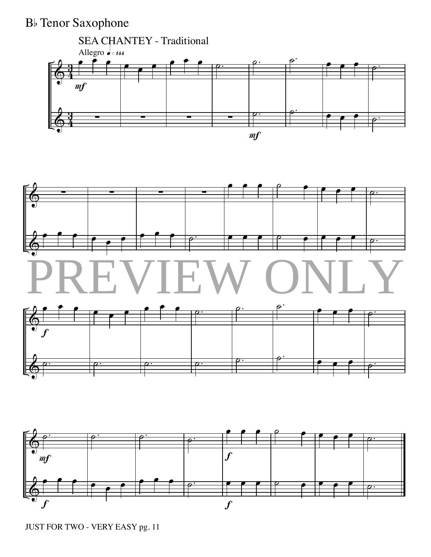





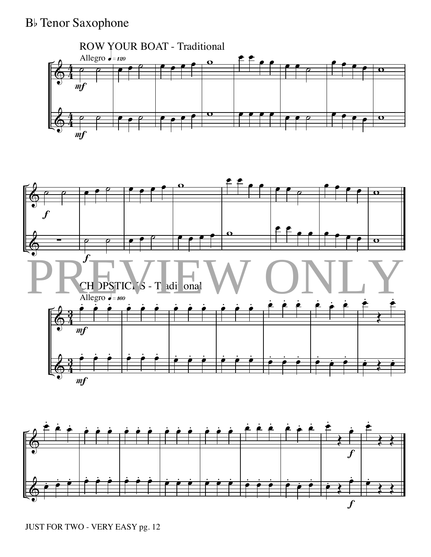



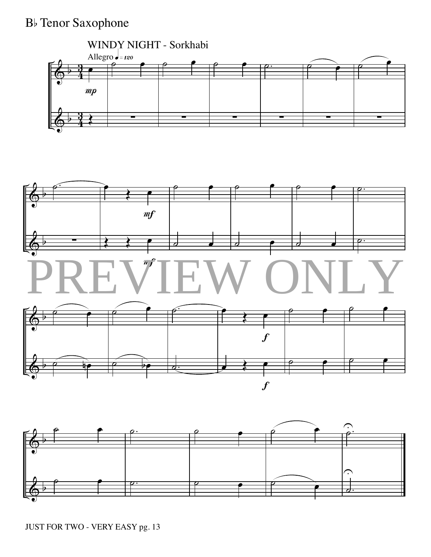# B<sub>b</sub> Tenor Saxophone